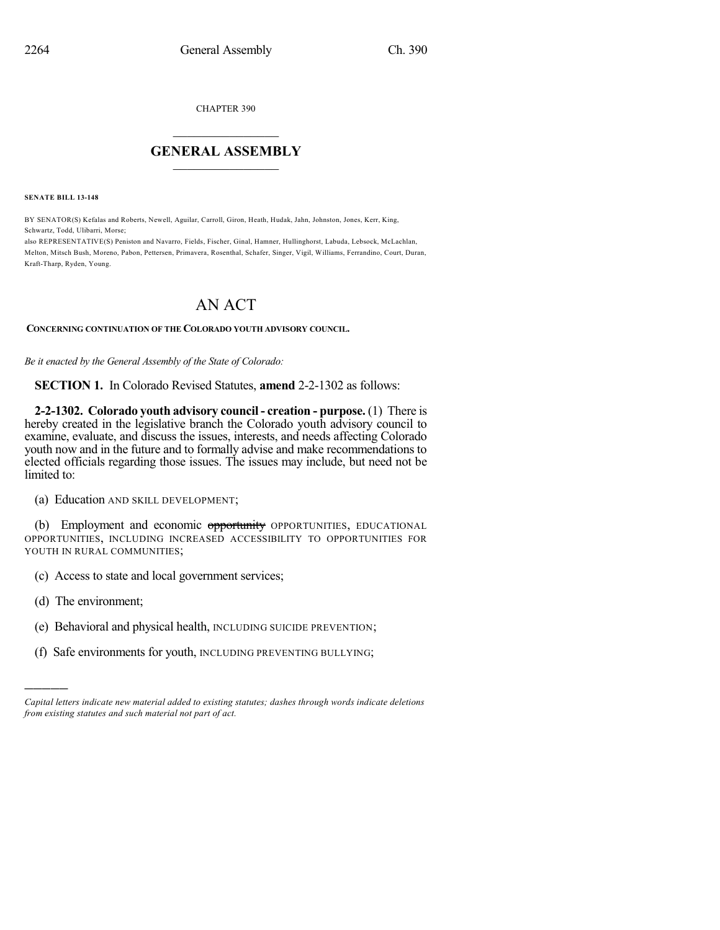CHAPTER 390

## $\overline{\phantom{a}}$  . The set of the set of the set of the set of the set of the set of the set of the set of the set of the set of the set of the set of the set of the set of the set of the set of the set of the set of the set o **GENERAL ASSEMBLY**  $\frac{1}{\sqrt{2}}$  . The set of  $\frac{1}{\sqrt{2}}$

**SENATE BILL 13-148**

BY SENATOR(S) Kefalas and Roberts, Newell, Aguilar, Carroll, Giron, Heath, Hudak, Jahn, Johnston, Jones, Kerr, King, Schwartz, Todd, Ulibarri, Morse;

also REPRESENTATIVE(S) Peniston and Navarro, Fields, Fischer, Ginal, Hamner, Hullinghorst, Labuda, Lebsock, McLachlan, Melton, Mitsch Bush, Moreno, Pabon, Pettersen, Primavera, Rosenthal, Schafer, Singer, Vigil, Williams, Ferrandino, Court, Duran, Kraft-Tharp, Ryden, Young.

## AN ACT

## **CONCERNING CONTINUATION OF THE COLORADO YOUTH ADVISORY COUNCIL.**

*Be it enacted by the General Assembly of the State of Colorado:*

**SECTION 1.** In Colorado Revised Statutes, **amend** 2-2-1302 as follows:

**2-2-1302. Colorado youth advisory council - creation - purpose.** (1) There is hereby created in the legislative branch the Colorado youth advisory council to examine, evaluate, and discuss the issues, interests, and needs affecting Colorado youth now and in the future and to formally advise and make recommendations to elected officials regarding those issues. The issues may include, but need not be limited to:

(a) Education AND SKILL DEVELOPMENT;

(b) Employment and economic opportunity OPPORTUNITIES, EDUCATIONAL OPPORTUNITIES, INCLUDING INCREASED ACCESSIBILITY TO OPPORTUNITIES FOR YOUTH IN RURAL COMMUNITIES;

- (c) Access to state and local government services;
- (d) The environment;

)))))

- (e) Behavioral and physical health, INCLUDING SUICIDE PREVENTION;
- (f) Safe environments for youth, INCLUDING PREVENTING BULLYING;

*Capital letters indicate new material added to existing statutes; dashes through words indicate deletions from existing statutes and such material not part of act.*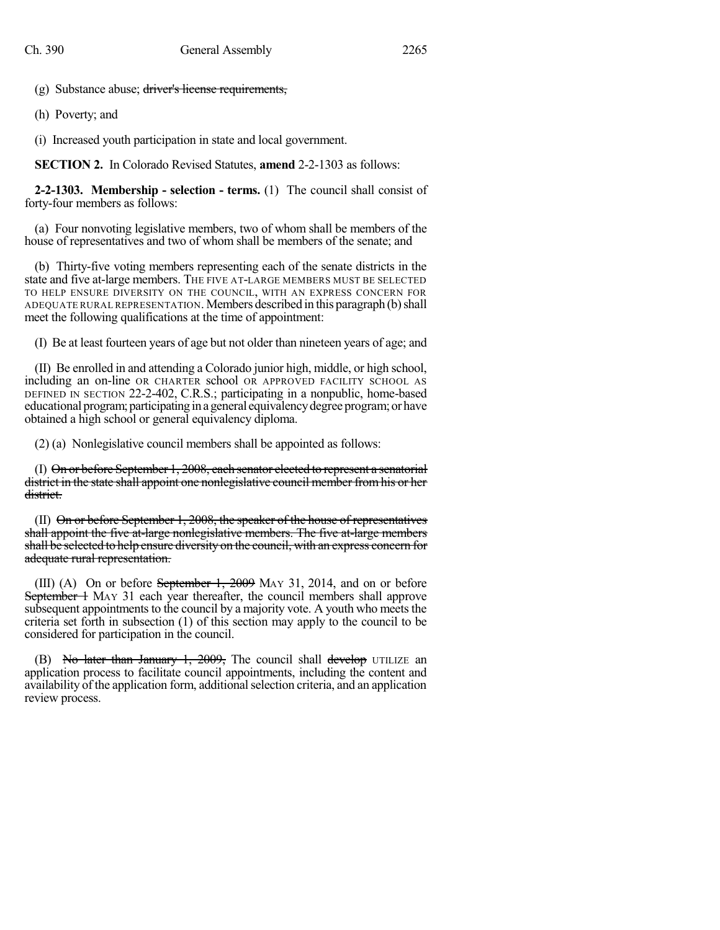(g) Substance abuse; driver's license requirements,

(h) Poverty; and

(i) Increased youth participation in state and local government.

**SECTION 2.** In Colorado Revised Statutes, **amend** 2-2-1303 as follows:

**2-2-1303. Membership - selection - terms.** (1) The council shall consist of forty-four members as follows:

(a) Four nonvoting legislative members, two of whom shall be members of the house of representatives and two of whom shall be members of the senate; and

(b) Thirty-five voting members representing each of the senate districts in the state and five at-large members. THE FIVE AT-LARGE MEMBERS MUST BE SELECTED TO HELP ENSURE DIVERSITY ON THE COUNCIL, WITH AN EXPRESS CONCERN FOR ADEQUATE RURAL REPRESENTATION. Members described in this paragraph (b) shall meet the following qualifications at the time of appointment:

(I) Be at least fourteen years of age but not older than nineteen years of age; and

(II) Be enrolled in and attending a Colorado junior high, middle, or high school, including an on-line OR CHARTER school OR APPROVED FACILITY SCHOOL AS DEFINED IN SECTION 22-2-402, C.R.S.; participating in a nonpublic, home-based educational program; participating in a general equivalency degree program; or have obtained a high school or general equivalency diploma.

(2) (a) Nonlegislative council members shall be appointed as follows:

(I) On or before September 1, 2008, each senator elected to represent a senatorial district in the state shall appoint one nonlegislative council member from his or her district.

(II) On or before September 1, 2008, the speaker of the house of representatives shall appoint the five at-large nonlegislative members. The five at-large members shall be selected to help ensure diversity on the council, with an express concern for adequate rural representation.

(III) (A) On or before September 1, 2009 MAY 31, 2014, and on or before September 1 M<sub>AY</sub> 31 each year thereafter, the council members shall approve subsequent appointments to the council by a majority vote. A youth who meets the criteria set forth in subsection (1) of this section may apply to the council to be considered for participation in the council.

(B) No later than January 1, 2009, The council shall develop UTILIZE an application process to facilitate council appointments, including the content and availability of the application form, additional selection criteria, and an application review process.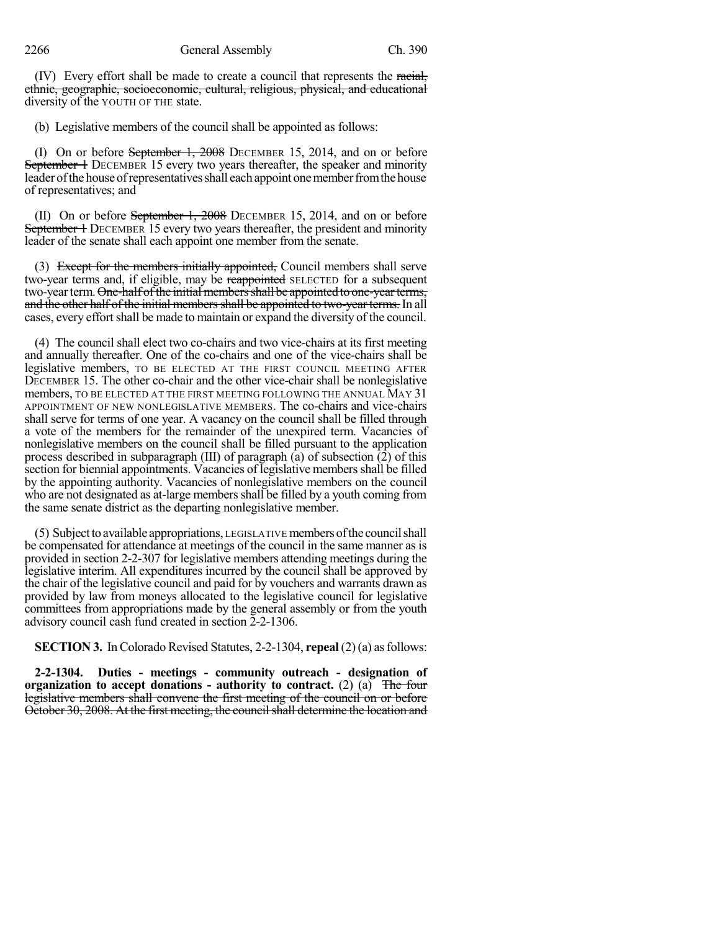(IV) Every effort shall be made to create a council that represents the racial, ethnic, geographic, socioeconomic, cultural, religious, physical, and educational diversity of the YOUTH OF THE state.

(b) Legislative members of the council shall be appointed as follows:

(I) On or before September 1, 2008 DECEMBER 15, 2014, and on or before September 1 DECEMBER 15 every two years thereafter, the speaker and minority leader of the house of representatives shall each appoint one member from the house of representatives; and

(II) On or before September 1, 2008 DECEMBER 15, 2014, and on or before September 1 DECEMBER 15 every two years thereafter, the president and minority leader of the senate shall each appoint one member from the senate.

(3) Except for the members initially appointed, Council members shall serve two-year terms and, if eligible, may be reappointed SELECTED for a subsequent two-year term. One-half of the initial members shall be appointed to one-year terms, and the other half of the initial members shall be appointed to two-year terms. In all cases, every effort shall be made to maintain or expand the diversity of the council.

(4) The council shall elect two co-chairs and two vice-chairs at its first meeting and annually thereafter. One of the co-chairs and one of the vice-chairs shall be legislative members, TO BE ELECTED AT THE FIRST COUNCIL MEETING AFTER DECEMBER 15. The other co-chair and the other vice-chair shall be nonlegislative members, TO BE ELECTED AT THE FIRST MEETING FOLLOWING THE ANNUAL MAY 31 APPOINTMENT OF NEW NONLEGISLATIVE MEMBERS. The co-chairs and vice-chairs shall serve for terms of one year. A vacancy on the council shall be filled through a vote of the members for the remainder of the unexpired term. Vacancies of nonlegislative members on the council shall be filled pursuant to the application process described in subparagraph (III) of paragraph  $\overline{a}$ ) of subsection  $\overline{2}$ ) of this section for biennial appointments. Vacancies of legislative members shall be filled by the appointing authority. Vacancies of nonlegislative members on the council who are not designated as at-large members shall be filled by a youth coming from the same senate district as the departing nonlegislative member.

(5) Subjecttoavailable appropriations, LEGISLATIVE membersofthe councilshall be compensated for attendance at meetings of the council in the same manner as is provided in section 2-2-307 for legislative members attending meetings during the legislative interim. All expenditures incurred by the council shall be approved by the chair of the legislative council and paid for by vouchers and warrants drawn as provided by law from moneys allocated to the legislative council for legislative committees from appropriations made by the general assembly or from the youth advisory council cash fund created in section 2-2-1306.

**SECTION 3.** InColorado Revised Statutes, 2-2-1304, **repeal** (2) (a) asfollows:

**2-2-1304. Duties - meetings - community outreach - designation of organization to accept donations - authority to contract.** (2) (a) The four legislative members shall convene the first meeting of the council on or before October 30, 2008. At the first meeting, the council shall determine the location and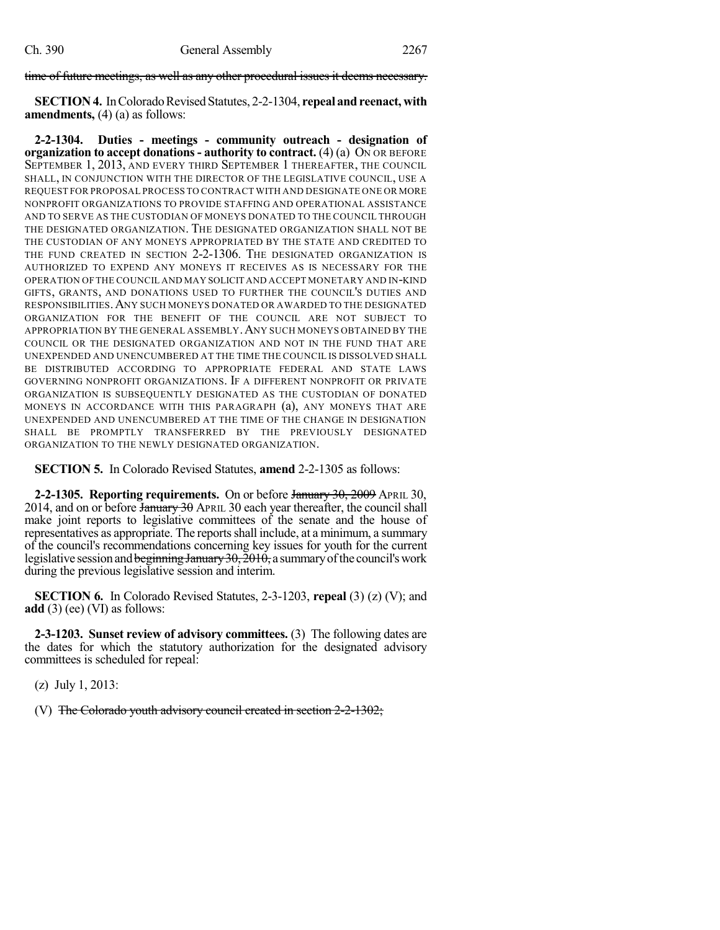time of future meetings, as well as any other procedural issues it deems necessary.

**SECTION 4.** In Colorado Revised Statutes, 2-2-1304, repeal and reenact, with **amendments,** (4) (a) as follows:

**2-2-1304. Duties - meetings - community outreach - designation of organization to accept donations- authority to contract.** (4) (a) ON OR BEFORE SEPTEMBER 1, 2013, AND EVERY THIRD SEPTEMBER 1 THEREAFTER, THE COUNCIL SHALL, IN CONJUNCTION WITH THE DIRECTOR OF THE LEGISLATIVE COUNCIL, USE A REQUEST FOR PROPOSAL PROCESS TO CONTRACT WITH AND DESIGNATE ONE OR MORE NONPROFIT ORGANIZATIONS TO PROVIDE STAFFING AND OPERATIONAL ASSISTANCE AND TO SERVE AS THE CUSTODIAN OF MONEYS DONATED TO THE COUNCIL THROUGH THE DESIGNATED ORGANIZATION. THE DESIGNATED ORGANIZATION SHALL NOT BE THE CUSTODIAN OF ANY MONEYS APPROPRIATED BY THE STATE AND CREDITED TO THE FUND CREATED IN SECTION 2-2-1306. THE DESIGNATED ORGANIZATION IS AUTHORIZED TO EXPEND ANY MONEYS IT RECEIVES AS IS NECESSARY FOR THE OPERATION OF THE COUNCIL AND MAY SOLICIT AND ACCEPT MONETARY AND IN-KIND GIFTS, GRANTS, AND DONATIONS USED TO FURTHER THE COUNCIL'S DUTIES AND RESPONSIBILITIES.ANY SUCH MONEYS DONATED OR AWARDED TO THE DESIGNATED ORGANIZATION FOR THE BENEFIT OF THE COUNCIL ARE NOT SUBJECT TO APPROPRIATION BY THE GENERAL ASSEMBLY.ANY SUCH MONEYS OBTAINED BY THE COUNCIL OR THE DESIGNATED ORGANIZATION AND NOT IN THE FUND THAT ARE UNEXPENDED AND UNENCUMBERED AT THE TIME THE COUNCIL IS DISSOLVED SHALL BE DISTRIBUTED ACCORDING TO APPROPRIATE FEDERAL AND STATE LAWS GOVERNING NONPROFIT ORGANIZATIONS. IF A DIFFERENT NONPROFIT OR PRIVATE ORGANIZATION IS SUBSEQUENTLY DESIGNATED AS THE CUSTODIAN OF DONATED MONEYS IN ACCORDANCE WITH THIS PARAGRAPH (a), ANY MONEYS THAT ARE UNEXPENDED AND UNENCUMBERED AT THE TIME OF THE CHANGE IN DESIGNATION SHALL BE PROMPTLY TRANSFERRED BY THE PREVIOUSLY DESIGNATED ORGANIZATION TO THE NEWLY DESIGNATED ORGANIZATION.

**SECTION 5.** In Colorado Revised Statutes, **amend** 2-2-1305 as follows:

**2-2-1305. Reporting requirements.** On or before January 30, 2009 APRIL 30, 2014, and on or before January 30 APRIL 30 each year thereafter, the council shall make joint reports to legislative committees of the senate and the house of representatives as appropriate. The reportsshall include, at a minimum, a summary of the council's recommendations concerning key issues for youth for the current legislative session and beginning January 30, 2010, a summary of the council's work during the previous legislative session and interim.

**SECTION 6.** In Colorado Revised Statutes, 2-3-1203, **repeal** (3) (z) (V); and **add** (3) (ee) (VI) as follows:

**2-3-1203. Sunset review of advisory committees.** (3) The following dates are the dates for which the statutory authorization for the designated advisory committees is scheduled for repeal:

(z) July 1, 2013:

(V) The Colorado youth advisory council created in section 2-2-1302;